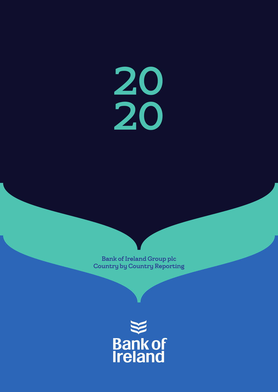20 20

Bank of Ireland Group plc Country by Country Reporting

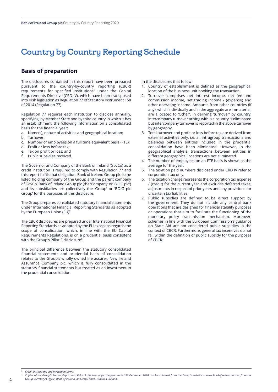# Country by Country Reporting Schedule

## **Basis of preparation**

The disclosures contained in this report have been prepared pursuant to the country-by-country reporting (CBCR) requirements for specified institutions<sup>1</sup> under the Capital Requirements Directive (CRD IV), which have been transposed into Irish legislation as Regulation 77 of Statutory Instrument 158 of 2014 (Regulation 77).

Regulation 77 requires each institution to disclose annually, specifying, by Member State and by third country in which it has an establishment, the following information on a consolidated basis for the financial year:

- a. Name(s), nature of activities and geographical location;
- b. Turnover;
- c. Number of employees on a full time equivalent basis (FTE);
- d. Profit or loss before tax;
- e. Tax on profit or loss; and
- f. Public subsidies received.

The Governor and Company of the Bank of Ireland (GovCo) as a credit institution is required to comply with Regulation 77 and this report fulfils that obligation. Bank of Ireland Group plc is the listed holding company of the Group and the parent company of GovCo. Bank of Ireland Group plc (the 'Company' or 'BOIG plc') and its subsidiaries are collectively the 'Group' or 'BOIG plc Group' for the purposes of this disclosure.

The Group prepares consolidated statutory financial statements under International Financial Reporting Standards as adopted by the European Union (EU)<sup>2</sup>.

The CBCR disclosures are prepared under International Financial Reporting Standards as adopted by the EU except as regards the scope of consolidation, which, in line with the EU Capital Requirements Regulations, is on a prudential basis consistent with the Group's Pillar 3 disclosure<sup>2</sup>.

The principal difference between the statutory consolidated financial statements and prudential basis of consolidation relates to the Group's wholly owned life assurer, New Ireland Assurance Company plc, which is fully consolidated in the statutory financial statements but treated as an investment in the prudential consolidation.

In the disclosures that follow:

- 1. Country of establishment is defined as the geographical location of the business unit booking the transaction.
- 2. Turnover comprises net interest income, net fee and commission income, net trading income / (expense) and other operating income. Amounts from other countries (if any), which individually and in the aggregate are immaterial, are allocated to 'Other'. In deriving 'turnover' by country, intercompany turnover arising within a country is eliminated but intercompany turnover is reported in the above turnover by geography.
- Total turnover and profit or loss before tax are derived from external activities only, i.e. all intragroup transactions and balances between entities included in the prudential consolidation have been eliminated. However, in the geographical analysis, transactions between entities in different geographical locations are not eliminated.
- 4. The number of employees on an FTE basis is shown as the average for the year.
- 5. The taxation paid numbers disclosed under CRD IV refer to corporation tax only.
- 6. The taxation charge represents the corporation tax expense / (credit) for the current year and excludes deferred taxes, adjustments in respect of prior years and any provisions for uncertain tax liabilities.
- 7. Public subsidies are defined to be direct support by the government. They do not include any central bank operations that are designed for financial stability purposes or operations that aim to facilitate the functioning of the monetary policy transmission mechanism. Moreover, schemes in line with the European Commission's guidance on State Aid are not considered public subsidies in the context of CBCR. Furthermore, general tax incentives do not fall within the definition of public subsidy for the purposes of CBCR.

*<sup>1</sup> Credit institutions and investment firms.*

Copies of the Group's Annual Report and Pillar 3 disclosures for the year ended 31 December 2020 can be obtained from the Group's website at www.bankofireland.com or from the *Group Secretary's Office, Bank of Ireland, 40 Mespil Road, Dublin 4, Ireland.*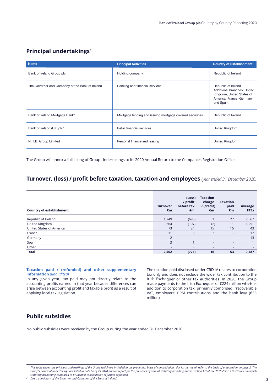## **Principal undertakings1**

| <b>Name</b>                                     | <b>Principal Activities</b>                              | <b>Country of Establishment</b>                                                                                                  |
|-------------------------------------------------|----------------------------------------------------------|----------------------------------------------------------------------------------------------------------------------------------|
| Bank of Ireland Group plc                       | Holding company                                          | Republic of Ireland                                                                                                              |
| The Governor and Company of the Bank of Ireland | Banking and financial services                           | Republic of Ireland<br><b>Additional branches: United</b><br>Kingdom, United States of<br>America, France, Germany<br>and Spain. |
| Bank of Ireland Mortgage Bank <sup>2</sup>      | Mortgage lending and issuing mortgage covered securities | Republic of Ireland                                                                                                              |
| Bank of Ireland (UK) plc <sup>2</sup>           | Retail financial services                                | <b>United Kingdom</b>                                                                                                            |
| N.I.I.B. Group Limited                          | Personal finance and leasing                             | <b>United Kingdom</b>                                                                                                            |

The Group will annex a full listing of Group Undertakings to its 2020 Annual Return to the Companies Registration Office.

## **Turnover, (loss) / profit before taxation, taxation and employees** *(year ended 31 December 2020)*

| <b>Country of establishment</b> | <b>Turnover</b><br>€m | (Loss)<br>/ profit<br>before tax<br>€m | <b>Taxation</b><br>charge<br>/ (credit)<br>€m | <b>Taxation</b><br>paid<br>€m | Average<br><b>FTEs</b> |
|---------------------------------|-----------------------|----------------------------------------|-----------------------------------------------|-------------------------------|------------------------|
| Republic of Ireland             | 1,749                 | (695)                                  |                                               | 27                            | 7,567                  |
| United Kingdom                  | 664                   | (107)                                  | (2)                                           | 11                            | 1,951                  |
| United States of America        | 73                    | 24                                     | 15                                            | 15                            | 43                     |
| France                          | 11                    | 6                                      | $\overline{2}$                                | $\sim$                        | 12                     |
| Germany                         | 2                     | ٠                                      |                                               | $\overline{\phantom{a}}$      | 13                     |
| Spain                           | 3                     |                                        | $\sim$                                        | $\sim$                        |                        |
| Other                           | ٠                     | ۰                                      | $\sim$                                        | $\sim$                        | <b>.</b>               |
| <b>Total</b>                    | 2.502                 | (771)                                  | 16                                            | 53                            | 9,587                  |

#### **Taxation paid / (refunded) and other supplementary information** *(unaudited)*

In any given year, tax paid may not directly relate to the accounting profits earned in that year because differences can arise between accounting profit and taxable profit as <sup>a</sup> result of applying local tax legislation.

The taxation paid disclosed under CRD IV relates to corporation tax only and does not include the wider tax contribution to the Irish Exchequer or other tax authorities. In 2020, the Group made payments to the Irish Exchequer of €224 million which in addition to corporation tax, primarily comprised irrecoverable VAT, employers' PRSI contributions and the bank levy (€35 million).

## **Public subsidies**

No public subsidies were received by the Group during the year ended 31 December 2020.

This table shows the principal undertakings of the Group which are included in the prudential basis of consolidation. For further detail refer to the basis of preparation on page 2. The Group's principal undertakings are listed in note 56 of its 2020 annual report for the purposes of annual statutory reporting and in section 1.3 of the 2020 Pillar 3 Disclosures in which *statutory accounting compared to prudential consolidation is further explained.*

*<sup>2</sup> Direct subsidiary of the Governor and Company of the Bank of Ireland.*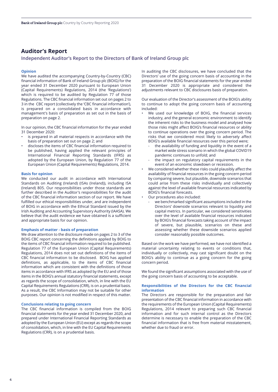## **Auditor's Report**

#### **Independent Auditor's Report to the Directors of Bank of Ireland Group plc**

#### **Opinion**

We have audited the accompanying Country-by-Country (CBC) financial information of Bank of Ireland Group plc (BOIG) for the year ended 31 December 2020 pursuant to European Union (Capital Requirements) Regulations, 2014 (the 'Regulations') which is required to be audited by Regulation 77 of those Regulations. The CBC financial information set out on pages 2 to 3 in the CBC report (collectively the 'CBC financial information'), is prepared on a consolidated basis in accordance with management's basis of preparation as set out in the basis of preparation on page 2.

In our opinion, the CBC financial information for the year ended 31 December 2020:

- is prepared in all material respects in accordance with the basis of preparation set out on page 2; and
- discloses the items of CBC financial information required to be published, having applied the relevant principles of International Financial Reporting Standards (IFRS) as adopted by the European Union, by Regulation 77 of the European Union (Capital Requirements) Regulations, 2014.

#### **Basis for opinion**

We conducted our audit in accordance with International Standards on Auditing (Ireland) (ISAs (Ireland)), including ISA (Ireland) 805. Our responsibilities under those standards are further described in the Auditor's responsibilities for the audit of the CBC financial information section of our report. We have fulfilled our ethical responsibilities under, and are independent of BOIG in accordance with the Ethical Standard issued by the Irish Auditing and Accounting Supervisory Authority (IAASA). We believe that the audit evidence we have obtained is a sufficient and appropriate basis for our opinion.

#### **Emphasis of matter - basis of preparation**

We draw attention to the disclosure made on pages 2 to 3 of the BOIG CBC report concerning the definitions applied by BOIG to the items of CBC financial information required to be published. Regulation 77 of the European Union (Capital Requirements) Regulations, 2014 does not set out definitions of the items of CBC financial information to be disclosed. BOIG has applied definitions, as applicable, to the items of CBC financial information which are consistent with the definitions of those items in accordance with IFRS as adopted by the EU and of those items in the BOIG's annual statutory financial statements, except as regards the scope of consolidation, which, in line with the EU Capital Requirements Regulations (CRR), is on a prudential basis. As a result, the CBC Information may not be suitable for other purposes. Our opinion is not modified in respect of this matter.

#### **Conclusions relating to going concern**

The CBC financial information is compiled from the BOIG financial statements for the year ended 31 December 2020, and prepared under International Financial Reporting Standards as adopted by the European Union (EU) except as regards the scope of consolidation, which, in line with the EU Capital Requirements Regulations (CRR), is on a prudential basis.

In auditing the CBC disclosures, we have concluded that the Directors' use of the going concern basis of accounting in the preparation of the BOIG financial statements for the year ended 31 December 2020 is appropriate and considered the adjustments relevant to CBC disclosures basis of preparation.

Our evaluation of the Director's assessment of the BOIG's ability to continue to adopt the going concern basis of accounting included:

- We used our knowledge of BOIG, the financial services industry, and the general economic environment to identify the inherent risks to the business model and analysed how those risks might affect BOIG's financial resources or ability to continue operations over the going concern period. The risks that we considered most likely to adversely affect BOIG's available financial resources over this period were;
	- the availability of funding and liquidity in the event of a market wide stress scenario in which the global COVID19 pandemic continues to unfold; and
	- the impact on regulatory capital requirements in the event of an economic slowdown or recession.
- We considered whether these risks could plausibly affect the availability of financial resources in the going concern period by comparing severe, but plausible, downside scenarios that could arise from these risks individually and collectively against the level of available financial resources indicated by BOIG's financial forecasts.
- Our procedures also included:
	- we benchmarked significant assumptions included in the Directors' downside scenarios relevant to liquidity and capital metrics. In particular, we considered sensitivities over the level of available financial resources indicated by BOIG's financial forecasts taking account of the impact of severe, but plausible, scenarios on these and assessing whether these downside scenarios applied consider reasonably possible outcomes.

Based on the work we have performed, we have not identified a material uncertainty relating to events or conditions that, individually or collectively, may cast significant doubt on the BOIG's ability to continue as a going concern for the going concern period.

We found the significant assumptions associated with the use of the going concern basis of accounting to be acceptable.

#### **Responsibilities of the Directors for the CBC financial information**

The Directors are responsible for the preparation and fair presentation of the CBC financial information in accordance with the requirements of the European Union (Capital Requirements) Regulations, 2014 relevant to preparing such CBC financial information and for such internal control as the Directors determine is necessary to enable the preparation of the CBC financial information that is free from material misstatement, whether due to fraud or error.